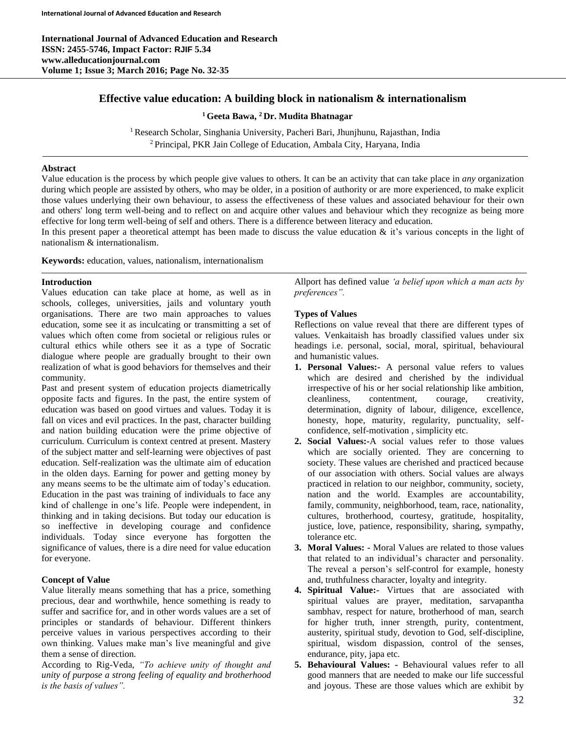# **Effective value education: A building block in nationalism & internationalism**

**<sup>1</sup> Geeta Bawa, <sup>2</sup> Dr. Mudita Bhatnagar**

<sup>1</sup> Research Scholar, Singhania University, Pacheri Bari, Jhunjhunu, Rajasthan, India <sup>2</sup> Principal, PKR Jain College of Education, Ambala City, Haryana, India

### **Abstract**

Value education is the process by which people give values to others. It can be an activity that can take place in *any* organization during which people are assisted by others, who may be older, in a position of authority or are more experienced, to make explicit those values underlying their own behaviour, to assess the effectiveness of these values and associated behaviour for their own and others' long term well-being and to reflect on and acquire other values and behaviour which they recognize as being more effective for long term well-being of self and others. There is a difference between literacy and education.

In this present paper a theoretical attempt has been made to discuss the value education  $\&$  it's various concepts in the light of nationalism & internationalism.

**Keywords:** education, values, nationalism, internationalism

# **Introduction**

Values education can take place at home, as well as in schools, colleges, universities, jails and voluntary youth organisations. There are two main approaches to values education, some see it as inculcating or transmitting a set of values which often come from societal or religious rules or cultural ethics while others see it as a type of Socratic dialogue where people are gradually brought to their own realization of what is good behaviors for themselves and their community.

Past and present system of education projects diametrically opposite facts and figures. In the past, the entire system of education was based on good virtues and values. Today it is fall on vices and evil practices. In the past, character building and nation building education were the prime objective of curriculum. Curriculum is context centred at present. Mastery of the subject matter and self-learning were objectives of past education. Self-realization was the ultimate aim of education in the olden days. Earning for power and getting money by any means seems to be the ultimate aim of today's education. Education in the past was training of individuals to face any kind of challenge in one's life. People were independent, in thinking and in taking decisions. But today our education is so ineffective in developing courage and confidence individuals. Today since everyone has forgotten the significance of values, there is a dire need for value education for everyone.

# **Concept of Value**

Value literally means something that has a price, something precious, dear and worthwhile, hence something is ready to suffer and sacrifice for, and in other words values are a set of principles or standards of behaviour. Different thinkers perceive values in various perspectives according to their own thinking. Values make man's live meaningful and give them a sense of direction.

According to Rig-Veda, *"To achieve unity of thought and unity of purpose a strong feeling of equality and brotherhood is the basis of values".*

Allport has defined value *'a belief upon which a man acts by preferences".*

# **Types of Values**

Reflections on value reveal that there are different types of values. Venkaitaish has broadly classified values under six headings i.e. personal, social, moral, spiritual, behavioural and humanistic values.

- **1. Personal Values:-** A personal value refers to values which are desired and cherished by the individual irrespective of his or her social relationship like ambition, cleanliness, contentment, courage, creativity, determination, dignity of labour, diligence, excellence, honesty, hope, maturity, regularity, punctuality, selfconfidence, self-motivation , simplicity etc.
- **2. Social Values:-**A social values refer to those values which are socially oriented. They are concerning to society. These values are cherished and practiced because of our association with others. Social values are always practiced in relation to our neighbor, community, society, nation and the world. Examples are accountability, family, community, neighborhood, team, race, nationality, cultures, brotherhood, courtesy, gratitude, hospitality, justice, love, patience, responsibility, sharing, sympathy, tolerance etc.
- **3. Moral Values: -** Moral Values are related to those values that related to an individual's character and personality. The reveal a person's self-control for example, honesty and, truthfulness character, loyalty and integrity.
- **4. Spiritual Value:-** Virtues that are associated with spiritual values are prayer, meditation, sarvapantha sambhav, respect for nature, brotherhood of man, search for higher truth, inner strength, purity, contentment, austerity, spiritual study, devotion to God, self-discipline, spiritual, wisdom dispassion, control of the senses, endurance, pity, japa etc.
- **5. Behavioural Values: -** Behavioural values refer to all good manners that are needed to make our life successful and joyous. These are those values which are exhibit by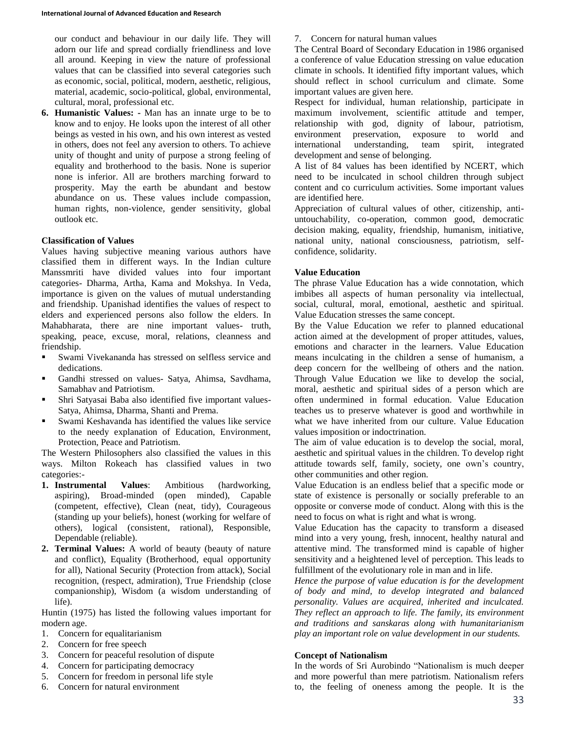our conduct and behaviour in our daily life. They will adorn our life and spread cordially friendliness and love all around. Keeping in view the nature of professional values that can be classified into several categories such as economic, social, political, modern, aesthetic, religious, material, academic, socio-political, global, environmental, cultural, moral, professional etc.

**6. Humanistic Values: -** Man has an innate urge to be to know and to enjoy. He looks upon the interest of all other beings as vested in his own, and his own interest as vested in others, does not feel any aversion to others. To achieve unity of thought and unity of purpose a strong feeling of equality and brotherhood to the basis. None is superior none is inferior. All are brothers marching forward to prosperity. May the earth be abundant and bestow abundance on us. These values include compassion, human rights, non-violence, gender sensitivity, global outlook etc.

### **Classification of Values**

Values having subjective meaning various authors have classified them in different ways. In the Indian culture Manssmriti have divided values into four important categories- Dharma, Artha, Kama and Mokshya. In Veda, importance is given on the values of mutual understanding and friendship. Upanishad identifies the values of respect to elders and experienced persons also follow the elders. In Mahabharata, there are nine important values- truth, speaking, peace, excuse, moral, relations, cleanness and friendship.

- Swami Vivekananda has stressed on selfless service and dedications.
- Gandhi stressed on values- Satya, Ahimsa, Savdhama, Samabhav and Patriotism.
- Shri Satyasai Baba also identified five important values-Satya, Ahimsa, Dharma, Shanti and Prema.
- Swami Keshavanda has identified the values like service to the needy explanation of Education, Environment, Protection, Peace and Patriotism.

The Western Philosophers also classified the values in this ways. Milton Rokeach has classified values in two categories:-

- **1. Instrumental Values**: Ambitious (hardworking, aspiring), Broad-minded (open minded), Capable (competent, effective), Clean (neat, tidy), Courageous (standing up your beliefs), honest (working for welfare of others), logical (consistent, rational), Responsible, Dependable (reliable).
- **2. Terminal Values:** A world of beauty (beauty of nature and conflict), Equality (Brotherhood, equal opportunity for all), National Security (Protection from attack), Social recognition, (respect, admiration), True Friendship (close companionship), Wisdom (a wisdom understanding of life).

Huntin (1975) has listed the following values important for modern age.

- 1. Concern for equalitarianism
- 2. Concern for free speech
- 3. Concern for peaceful resolution of dispute
- 4. Concern for participating democracy
- 5. Concern for freedom in personal life style
- 6. Concern for natural environment

7. Concern for natural human values

The Central Board of Secondary Education in 1986 organised a conference of value Education stressing on value education climate in schools. It identified fifty important values, which should reflect in school curriculum and climate. Some important values are given here.

Respect for individual, human relationship, participate in maximum involvement, scientific attitude and temper, relationship with god, dignity of labour, patriotism, environment preservation, exposure to world and international understanding, team spirit, integrated development and sense of belonging.

A list of 84 values has been identified by NCERT, which need to be inculcated in school children through subject content and co curriculum activities. Some important values are identified here.

Appreciation of cultural values of other, citizenship, antiuntouchability, co-operation, common good, democratic decision making, equality, friendship, humanism, initiative, national unity, national consciousness, patriotism, selfconfidence, solidarity.

### **Value Education**

The phrase Value Education has a wide connotation, which imbibes all aspects of human personality via intellectual, social, cultural, moral, emotional, aesthetic and spiritual. Value Education stresses the same concept.

By the Value Education we refer to planned educational action aimed at the development of proper attitudes, values, emotions and character in the learners. Value Education means inculcating in the children a sense of humanism, a deep concern for the wellbeing of others and the nation. Through Value Education we like to develop the social, moral, aesthetic and spiritual sides of a person which are often undermined in formal education. Value Education teaches us to preserve whatever is good and worthwhile in what we have inherited from our culture. Value Education values imposition or indoctrination.

The aim of value education is to develop the social, moral, aesthetic and spiritual values in the children. To develop right attitude towards self, family, society, one own's country, other communities and other region.

Value Education is an endless belief that a specific mode or state of existence is personally or socially preferable to an opposite or converse mode of conduct. Along with this is the need to focus on what is right and what is wrong.

Value Education has the capacity to transform a diseased mind into a very young, fresh, innocent, healthy natural and attentive mind. The transformed mind is capable of higher sensitivity and a heightened level of perception. This leads to fulfillment of the evolutionary role in man and in life.

*Hence the purpose of value education is for the development of body and mind, to develop integrated and balanced personality. Values are acquired, inherited and inculcated. They reflect an approach to life. The family, its environment and traditions and sanskaras along with humanitarianism play an important role on value development in our students.*

### **Concept of Nationalism**

In the words of Sri Aurobindo "Nationalism is much deeper and more powerful than mere patriotism. Nationalism refers to, the feeling of oneness among the people. It is the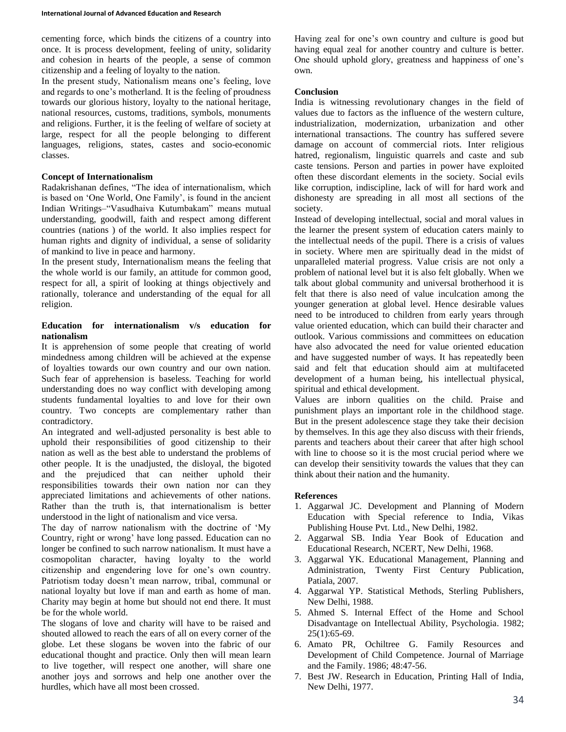cementing force, which binds the citizens of a country into once. It is process development, feeling of unity, solidarity and cohesion in hearts of the people, a sense of common citizenship and a feeling of loyalty to the nation.

In the present study, Nationalism means one's feeling, love and regards to one's motherland. It is the feeling of proudness towards our glorious history, loyalty to the national heritage, national resources, customs, traditions, symbols, monuments and religions. Further, it is the feeling of welfare of society at large, respect for all the people belonging to different languages, religions, states, castes and socio-economic classes.

#### **Concept of Internationalism**

Radakrishanan defines, "The idea of internationalism, which is based on 'One World, One Family', is found in the ancient Indian Writings–"Vasudhaiva Kutumbakam" means mutual understanding, goodwill, faith and respect among different countries (nations ) of the world. It also implies respect for human rights and dignity of individual, a sense of solidarity of mankind to live in peace and harmony.

In the present study, Internationalism means the feeling that the whole world is our family, an attitude for common good, respect for all, a spirit of looking at things objectively and rationally, tolerance and understanding of the equal for all religion.

#### **Education for internationalism v/s education for nationalism**

It is apprehension of some people that creating of world mindedness among children will be achieved at the expense of loyalties towards our own country and our own nation. Such fear of apprehension is baseless. Teaching for world understanding does no way conflict with developing among students fundamental loyalties to and love for their own country. Two concepts are complementary rather than contradictory.

An integrated and well-adjusted personality is best able to uphold their responsibilities of good citizenship to their nation as well as the best able to understand the problems of other people. It is the unadjusted, the disloyal, the bigoted and the prejudiced that can neither uphold their responsibilities towards their own nation nor can they appreciated limitations and achievements of other nations. Rather than the truth is, that internationalism is better understood in the light of nationalism and vice versa.

The day of narrow nationalism with the doctrine of 'My Country, right or wrong' have long passed. Education can no longer be confined to such narrow nationalism. It must have a cosmopolitan character, having loyalty to the world citizenship and engendering love for one's own country. Patriotism today doesn't mean narrow, tribal, communal or national loyalty but love if man and earth as home of man. Charity may begin at home but should not end there. It must be for the whole world.

The slogans of love and charity will have to be raised and shouted allowed to reach the ears of all on every corner of the globe. Let these slogans be woven into the fabric of our educational thought and practice. Only then will mean learn to live together, will respect one another, will share one another joys and sorrows and help one another over the hurdles, which have all most been crossed.

Having zeal for one's own country and culture is good but having equal zeal for another country and culture is better. One should uphold glory, greatness and happiness of one's own.

#### **Conclusion**

India is witnessing revolutionary changes in the field of values due to factors as the influence of the western culture, industrialization, modernization, urbanization and other international transactions. The country has suffered severe damage on account of commercial riots. Inter religious hatred, regionalism, linguistic quarrels and caste and sub caste tensions. Person and parties in power have exploited often these discordant elements in the society. Social evils like corruption, indiscipline, lack of will for hard work and dishonesty are spreading in all most all sections of the society.

Instead of developing intellectual, social and moral values in the learner the present system of education caters mainly to the intellectual needs of the pupil. There is a crisis of values in society. Where men are spiritually dead in the midst of unparalleled material progress. Value crisis are not only a problem of national level but it is also felt globally. When we talk about global community and universal brotherhood it is felt that there is also need of value inculcation among the younger generation at global level. Hence desirable values need to be introduced to children from early years through value oriented education, which can build their character and outlook. Various commissions and committees on education have also advocated the need for value oriented education and have suggested number of ways. It has repeatedly been said and felt that education should aim at multifaceted development of a human being, his intellectual physical, spiritual and ethical development.

Values are inborn qualities on the child. Praise and punishment plays an important role in the childhood stage. But in the present adolescence stage they take their decision by themselves. In this age they also discuss with their friends, parents and teachers about their career that after high school with line to choose so it is the most crucial period where we can develop their sensitivity towards the values that they can think about their nation and the humanity.

### **References**

- 1. Aggarwal JC. Development and Planning of Modern Education with Special reference to India, Vikas Publishing House Pvt. Ltd., New Delhi, 1982.
- 2. Aggarwal SB. India Year Book of Education and Educational Research, NCERT, New Delhi, 1968.
- 3. Aggarwal YK. Educational Management, Planning and Administration, Twenty First Century Publication, Patiala, 2007.
- 4. Aggarwal YP. Statistical Methods, Sterling Publishers, New Delhi, 1988.
- 5. Ahmed S. Internal Effect of the Home and School Disadvantage on Intellectual Ability, Psychologia. 1982;  $25(1):65-69.$
- 6. Amato PR, Ochiltree G. Family Resources and Development of Child Competence. Journal of Marriage and the Family. 1986; 48:47-56.
- 7. Best JW. Research in Education, Printing Hall of India, New Delhi, 1977.